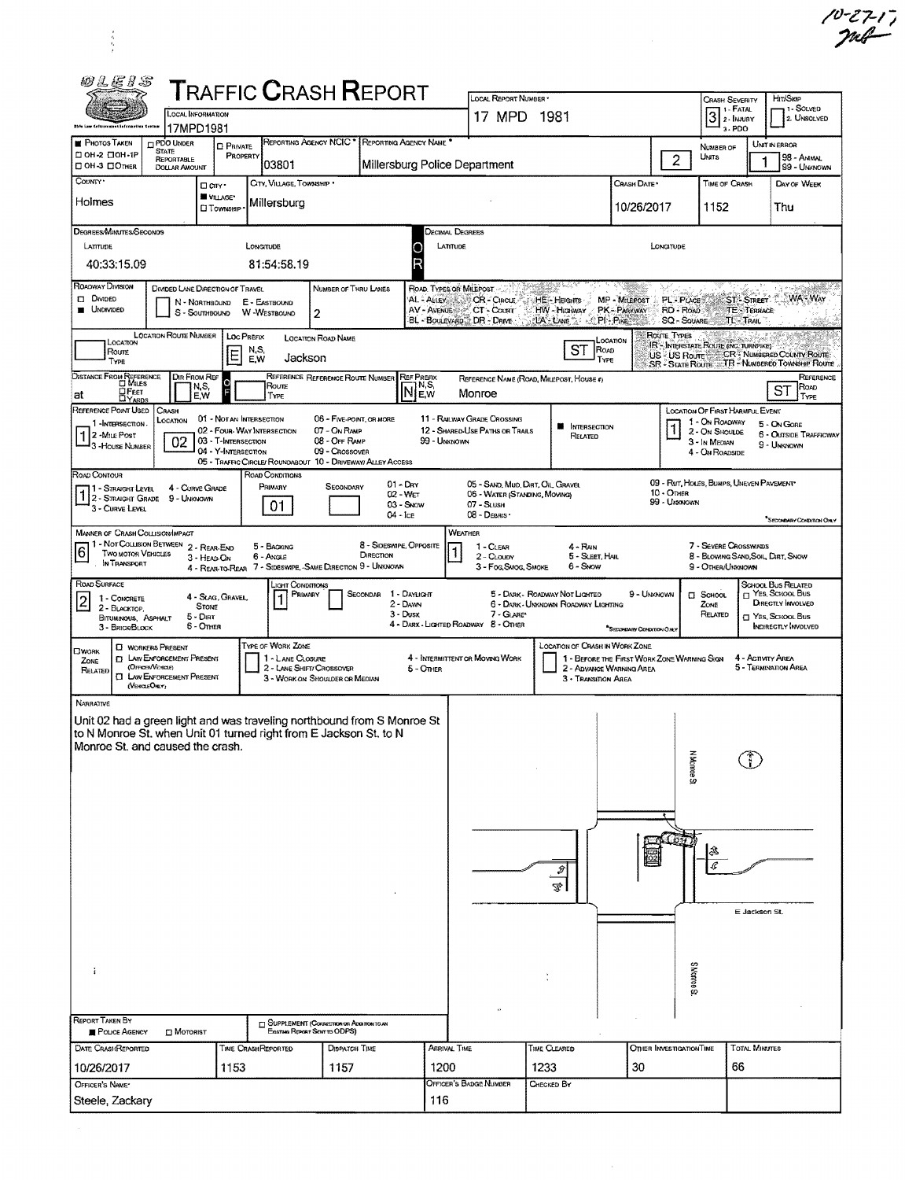| <b>02E1S</b><br><b>T</b> RAFFIC <b>C</b> RASH <b>R</b> EPORT                                                                                                                                                                                                                                                                                                                |                                                                                                                                                                             | LOCAL REPORT NUMBER *                                                                          |                                                                                          |                                             | Hrt/Skip                                                                                                                                                                          |  |  |  |  |  |
|-----------------------------------------------------------------------------------------------------------------------------------------------------------------------------------------------------------------------------------------------------------------------------------------------------------------------------------------------------------------------------|-----------------------------------------------------------------------------------------------------------------------------------------------------------------------------|------------------------------------------------------------------------------------------------|------------------------------------------------------------------------------------------|---------------------------------------------|-----------------------------------------------------------------------------------------------------------------------------------------------------------------------------------|--|--|--|--|--|
| LOCAL INFORMATION<br>Ebla Law Cefersonunt Infermation Sector<br>17MPD1981                                                                                                                                                                                                                                                                                                   |                                                                                                                                                                             | 17 MPD 1981                                                                                    |                                                                                          |                                             | <b>CRASH SEVERITY</b><br>. 1 - Solved<br>1 - FATAL<br>$\overline{3}$<br>2 <b>INJURY</b><br>2. UNSOLVED<br>3-PDO                                                                   |  |  |  |  |  |
| REPORTING AGENCY NCIC <sup>*</sup><br>REPORTING AGENCY NAME <sup>*</sup><br><b>PHOTOS TAKEN</b><br><b>PDO UNDER</b><br><b>D</b> PRIVATE<br><b>STATE</b><br>□ он-2 □ он-1Р<br>PROPERTY<br><b>REPORTABLE</b><br>03801<br>C OH-3 COTHER<br><b>DOLLAR AMOUNT</b>                                                                                                                | Millersburg Police Department                                                                                                                                               |                                                                                                |                                                                                          | $\overline{c}$                              | UNIT IN ERROR<br>NUMBER OF<br>UNITS<br>98 - ANMAL<br>99 - UNKNOWN                                                                                                                 |  |  |  |  |  |
| COUNTY <sup>*</sup><br>CITY, VILLAGE, TOWNSHIP *<br>□ arv·<br>VILLAGE*<br>Holmes<br>Millersburg<br><b>CI TOWNSHIP</b>                                                                                                                                                                                                                                                       |                                                                                                                                                                             |                                                                                                |                                                                                          | CHASH DATE*<br>10/26/2017                   | TIME OF CRASH<br>DAY OF WEEK<br>1152<br>Thu                                                                                                                                       |  |  |  |  |  |
| DEGREES/MINUTES/SECONDS<br>LATTUDE<br>LONGITUDE<br>40:33:15.09<br>81:54:58.19                                                                                                                                                                                                                                                                                               | LATITUDE<br>R                                                                                                                                                               | Decimal Degrees<br>LONGITUDE                                                                   |                                                                                          |                                             |                                                                                                                                                                                   |  |  |  |  |  |
| ROADWAY DIVISION<br>DIMDED LANE DIRECTION OF TRAVEL<br>NUMBER OF THRU LANES<br><b>D</b> Divided<br>E - EASTBOUND<br>N - NORTHBOUND<br><b>UNDIVIDED</b><br>W-WESTBOUND<br>S - Southbound<br>2                                                                                                                                                                                | ROAD. TYPES OF MILEPOST<br>AL - ALLEY<br>CR-CIRCLE<br>PL - PLACE<br>HE-Heights<br>MP - Milepost<br>AV - AVENUE & F. CT - COURT<br><b>HW-HIGHWAY PK-PARKWAY</b><br>RD - ROAD |                                                                                                |                                                                                          |                                             |                                                                                                                                                                                   |  |  |  |  |  |
| <b>LOCATION ROUTE NUMBER   LOC PREFIX</b><br><b>LOCATION ROAD NAME</b><br>Location<br>N,S,<br>Roure<br>E<br>Jackson<br>EW<br>Type                                                                                                                                                                                                                                           | BL - BOULEVARD TDR - DRIVE.                                                                                                                                                 |                                                                                                | <b>LA LANE TO A PI- PIKE</b><br>LOCATION<br>ST<br>ROAD<br>TYPE                           | <b>SQ - SOUARE</b><br>ROUTE TYPES           | <b>TL</b> TRAIL<br>IR - INTERSTATE ROUTE (INC. TURNPIKE)<br>US - US ROUTE CR <sup>2</sup> Numbered County Route<br>SR - State Route TR - Numbered Township Route                  |  |  |  |  |  |
| <b>DISTANCE FROM REFERENCE</b><br>DIR FROM REF<br>REFERENCE REFERENCE ROUTE NUMBER<br>Roune<br>N,S,<br><b>OFEET</b><br>E.W<br>at<br>TYPE                                                                                                                                                                                                                                    | <b>REF PREFIX</b><br>N,S,<br><b>INIEw</b>                                                                                                                                   | Monroe                                                                                         | REFERENCE NAME (ROAD, MILEPOST, HOUSE 4)                                                 |                                             | REFERENCE<br>ROAD<br>ST<br>TYPE                                                                                                                                                   |  |  |  |  |  |
| REFERENCE POINT USED<br>CRASH<br>01 - NOT AN INTERSECTION<br>06 - FIVE-POINT, OR MORE<br>LOCATION<br>1-INTERSECTION.<br>02 - Four-Way Intersection<br>07 - On RAMP<br>$12$ -Mai Post<br>02<br>03 - T-INTERSECTION<br>08 - OFF RAMP<br><sup>1</sup> 3 - House Number<br>04 - Y-INTERSECTION<br>09 - CROSSOVER<br>05 - TRAFFIC CIRCLE/ ROUNDABOUT 10 - DRIVEWAY/ ALLEY ACCESS | 99 - UNKNOWN                                                                                                                                                                | 11 - RAILWAY GRADE CROSSING<br>12 - SHARED-USE PATHS OR TRAILS                                 | <b>M</b> INTERSECTION<br>Related                                                         |                                             | LOCATION OF FIRST HARMFUL EVENT<br>1 - On ROADWAY<br>5 - On Gore<br>2 - ON SHOULDE<br>6 - Outside Trafficway<br>3 - In MEDIAN<br>9 - UNKNOWN<br>4 - ON ROADSIDE                   |  |  |  |  |  |
| ROAD CONTOUR<br>ROAD CONDITIONS<br>$01 - \text{Dry}$<br>PRIMARY<br>SECONDARY<br>4 - CURVE GRADE<br>11 - Straight Level<br>$02 - WET$<br>1 2 - STRAIGHT GRADE 9 - UNKNOWN<br>03 - Snow<br>01<br>3 - CURVE LEVEL<br>$04 -$ Ice                                                                                                                                                |                                                                                                                                                                             | 05 - SAND, MUD, DIRT, OIL GRAVEL<br>06 - WATER (STANDING, MOVING)<br>07 - SLUSH<br>08 - DEBRIS |                                                                                          | $10 -$ OTHER<br>99 - Unknown                | 09 - Rut, HOLES, BUMPS, UNEVEN PAVEMENT<br>*SECONDARY CONTATION ONLY                                                                                                              |  |  |  |  |  |
| <b>MANNER OF CRASH COLLISION/IMPACT</b><br>1 - NOT COLLISION BETWEEN 2 - REAR-END<br>8 - Sideswipe, Opposite<br>5 - BACKING<br>6<br><b>TWO MOTOR VEHICLES</b><br>DIRECTION<br>6 - Angle<br>3 - HEAD-ON<br>IN TRANSPORT<br>4 - REAR-TO-REAR 7 - SIDESWIPE, -SAME DIRECTION 9 - UNKNOWN                                                                                       | <b>WEATHER</b>                                                                                                                                                              | 1 - CLEAR<br>2 - CLOUDY<br>3 - Fog, Smog, Smoke                                                | 4 - RAIN<br>5 - SLEET, HAIL<br>6 - Snow                                                  |                                             | 7 - Severe Crosswinds<br>8 - BLOWING SAND, SOIL, DIRT, SNOW<br>9 - OTHER/UNKNOWN                                                                                                  |  |  |  |  |  |
| ROAD SURFACE<br>JGHT CONDITIONS<br>PRIMARY<br>SECONDAR<br>4 - SLAG, GRAVEL,<br>1 - CONCRETE<br>$\overline{c}$<br>$2 -$ Dawn<br><b>STONE</b><br>2 - BLACKTOP,<br>$3 - Dusx$<br>$5 -$ Dirt<br>BITUMINOUS, ASPHALT<br>$6 -$ OTHER<br>3 - BRICK/BLOCK                                                                                                                           | 1 - Daylight<br>4 - DARK - LIGHTED ROADWAY 8 - OTHER                                                                                                                        | 7 - GLARE*                                                                                     | 5 - DARK - ROADWAY NOT LIGHTED<br>6 - DARK - UNKNOWN ROADWAY LIGHTING                    | 9 - UNKNOWN<br>*Secondary Condition Orea    | SCHOOL BUS RELATED<br>$\Box$ Yes, School Bus<br>П SCHOOL<br><b>DIRECTLY INVOLVED</b><br>ZONE <sub></sub><br>RELATED<br><sup>7</sup> Yes, School Bus<br><b>INDIRECTLY INVOLVED</b> |  |  |  |  |  |
| TYPE OF WORK ZONE<br><b>CI WORKERS PRESENT</b><br><b>LIWORK</b><br><b>ET LAW ENFORCEMENT PRESENT</b><br>1 - LANE CLOSURE<br>ZONE<br>(OrnemVintee)<br>2 - LANE SHIFT/ CROSSOVER<br>RELATED<br><b>CI LAW ENFORCEMENT PRESENT</b><br>3 - WORK ON SHOULDER OR MEDIAN<br>(VEHOLEOMLY)                                                                                            | 4 - INTERMITTENT OR MOVING WORK<br>$5 -$ Omer                                                                                                                               |                                                                                                | <b>LOCATION OF CRASH IN WORK ZONE</b><br>2 - ADVANCE WARNING AREA<br>3 - TRANSITION AREA | 1 - BEFORE THE FIRST WORK ZONE WARMING SIGN | 4 - Activity Area<br>5 - Termination Area                                                                                                                                         |  |  |  |  |  |
| <b>NARRATIVE</b><br>Unit 02 had a green light and was traveling northbound from S Monroe St<br>to N Monroe St. when Unit 01 turned right from E Jackson St. to N<br>Monroe St. and caused the crash.                                                                                                                                                                        |                                                                                                                                                                             |                                                                                                |                                                                                          | <b>K</b> sonok k                            |                                                                                                                                                                                   |  |  |  |  |  |
|                                                                                                                                                                                                                                                                                                                                                                             |                                                                                                                                                                             |                                                                                                | Î<br>Ą,                                                                                  |                                             | E Jackson St.                                                                                                                                                                     |  |  |  |  |  |
| ÷<br>REPORT TAKEN BY<br><b>SUPPLEMENT (CORRECTION OR ADDITION)</b>                                                                                                                                                                                                                                                                                                          |                                                                                                                                                                             |                                                                                                |                                                                                          | Seonnok <sub>3</sub>                        |                                                                                                                                                                                   |  |  |  |  |  |
| Existing Report Seve to ODPS)<br>POLICE AGENCY<br><b>D</b> MOTORIST<br>DATE CRASHREPORTED<br><b>TIME CRASHREPORTED</b><br><b>DISPATCH TIME</b>                                                                                                                                                                                                                              | ARRIVAL TIME                                                                                                                                                                |                                                                                                | TIME CLEARED                                                                             | <b>OTHER INVESTIGATION TIME</b>             | <b>TOTAL MINUTES</b>                                                                                                                                                              |  |  |  |  |  |
| 10/26/2017<br>1153<br>1157<br>OFFICER'S NAME*<br>Steele, Zackary                                                                                                                                                                                                                                                                                                            | 1200<br>116                                                                                                                                                                 | OFFICER'S BADGE NUMBER                                                                         | 1233<br>Checked By                                                                       | 30                                          | 66                                                                                                                                                                                |  |  |  |  |  |

 $\begin{array}{c} \frac{1}{2} \\ \frac{1}{2} \end{array}$ 

 $\frac{10-2717}{200}$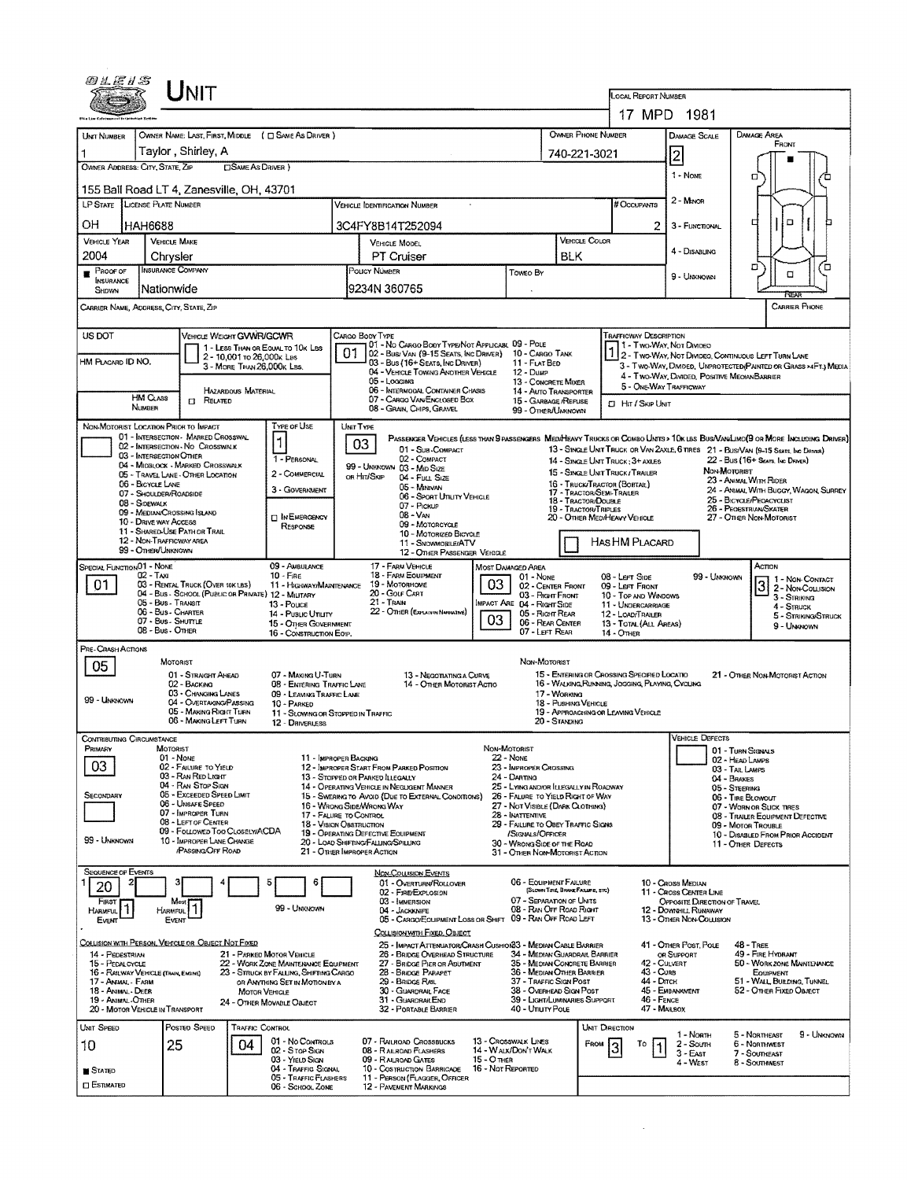| 94E1S                                                                                                                                                                                                                                                                                                                                                                                                                                                                                                                                                                           |                                                                                                                                                                                                                                                                                                                                                                                                                                                                 |                                                                                                                                                                                                                                                                                                                                                                                                                                                                                                                                                                                                                                                                                                                                                                   |
|---------------------------------------------------------------------------------------------------------------------------------------------------------------------------------------------------------------------------------------------------------------------------------------------------------------------------------------------------------------------------------------------------------------------------------------------------------------------------------------------------------------------------------------------------------------------------------|-----------------------------------------------------------------------------------------------------------------------------------------------------------------------------------------------------------------------------------------------------------------------------------------------------------------------------------------------------------------------------------------------------------------------------------------------------------------|-------------------------------------------------------------------------------------------------------------------------------------------------------------------------------------------------------------------------------------------------------------------------------------------------------------------------------------------------------------------------------------------------------------------------------------------------------------------------------------------------------------------------------------------------------------------------------------------------------------------------------------------------------------------------------------------------------------------------------------------------------------------|
| Unit                                                                                                                                                                                                                                                                                                                                                                                                                                                                                                                                                                            |                                                                                                                                                                                                                                                                                                                                                                                                                                                                 | LOCAL REPORT NUMBER<br>17 MPD 1981                                                                                                                                                                                                                                                                                                                                                                                                                                                                                                                                                                                                                                                                                                                                |
| OWNER NAME: LAST, FIRST, MIDDLE ( C SAME AS DRIVER )<br>UNIT NUMBER<br>Taylor, Shirley, A<br>OWNER ADDRESS: CITY, STATE, ZIP<br>□ SAME AS DRIVER )                                                                                                                                                                                                                                                                                                                                                                                                                              |                                                                                                                                                                                                                                                                                                                                                                                                                                                                 | <b>OWNER PHONE NUMBER</b><br><b>DAMAGE SCALE</b><br><b>DAMAGE AREA</b><br>FRONT<br> 2 <br>740-221-3021<br>1 - None<br>о                                                                                                                                                                                                                                                                                                                                                                                                                                                                                                                                                                                                                                           |
| 155 Ball Road LT 4, Zanesville, OH, 43701<br>LP STATE LICENSE PLATE NUMBER<br>OН<br>HAH6688                                                                                                                                                                                                                                                                                                                                                                                                                                                                                     | VEHICLE IDENTIFICATION NUMBER<br>3C4FY8B14T252094                                                                                                                                                                                                                                                                                                                                                                                                               | $2 -$ M <sub>NOR</sub><br># Occupants<br>۵<br>□<br>2 <sub>1</sub><br>3 - FUNCTIONAL                                                                                                                                                                                                                                                                                                                                                                                                                                                                                                                                                                                                                                                                               |
| <b>VEHICLE YEAR</b><br><b>VEHICLE MAKE</b><br>2004<br>Chrysler<br><b>INSURANCE COMPANY</b><br>PROOF OF<br><b>INSURANCE</b>                                                                                                                                                                                                                                                                                                                                                                                                                                                      | VEHICLE MODEL<br><b>PT Cruiser</b><br>POLICY NUMBER                                                                                                                                                                                                                                                                                                                                                                                                             | <b>VEHICLE COLOR</b><br>4 - DISABLING<br><b>BLK</b><br>ֿם<br>้อ<br>Toweo By<br>о<br>9 - UNKNOWN                                                                                                                                                                                                                                                                                                                                                                                                                                                                                                                                                                                                                                                                   |
| Nationwide<br>SHOWN<br>CARRIER NAME, ADDRESS, CITY, STATE, ZIP                                                                                                                                                                                                                                                                                                                                                                                                                                                                                                                  | 9234N 360765                                                                                                                                                                                                                                                                                                                                                                                                                                                    | <b>CARRIER PHONE</b>                                                                                                                                                                                                                                                                                                                                                                                                                                                                                                                                                                                                                                                                                                                                              |
| US DOT<br>VEHICLE WEIGHT GVWR/GCWR<br>1 - LESS THAN OR EQUAL TO 10K LBS<br>2 - 10,001 To 26,000k Las<br>HM PLACARD ID NO.<br>3 - MORE THAN 26,000K LBS.<br><b>HAZARDOUS MATERIAL</b>                                                                                                                                                                                                                                                                                                                                                                                            | CARGO BODY TYPE<br>01 - No CARGO BODY TYPE/NOT APPLICABL 09 - POLE<br>01<br>02 - Bus/VAN (9-15 SEATS, INC DRIVER) 10 - CARGO TANK<br>03 - Bus (16+ Seats, Inc Driver)<br>04 - VEHICLE TOWING ANOTHER VEHICLE<br>05 - Logging<br>06 - INTERMODAL CONTAINER CHASIS                                                                                                                                                                                                | <b>TRAFFICWAY DESCRIPTION</b><br>11 - Two-Way, Not Divideo<br>1 2 - TWO-WAY, NOT DIVIDEO, CONTINUOUS LEFT TURN LANE<br>11 - FLAT BED<br>3 - Two-Way, Diwded, Unprotected Painted or Grass >4Ft.) Media<br>12 - Dusp<br>4 - Two-Way, DIVIDED, POSITIVE MEOIANBARRIER<br>13 - CONCRETE MIXER<br>5 - ONE-WAY TRAFFICWAY<br>14 - AUTO TRANSPORTER                                                                                                                                                                                                                                                                                                                                                                                                                     |
| <b>HM CLASS</b><br><b>EL RELATED</b><br>NUMBER<br>TYPE OF USE                                                                                                                                                                                                                                                                                                                                                                                                                                                                                                                   | 07 - CARGO VAN ENCLOSED BOX<br>08 - GRAIN, CHIPS, GRAVEL                                                                                                                                                                                                                                                                                                                                                                                                        | 15 - GARBAGE /REFUSE<br><b>CI Htt / Skip Unit</b><br>99 - OTHER/UNKNOWN                                                                                                                                                                                                                                                                                                                                                                                                                                                                                                                                                                                                                                                                                           |
| NON-MOTORIST LOCATION PRICE TO IMPACT<br>01 - INTERSECTION - MARKED CROSSWAL<br>$\mathbf{1}$<br>02 - INTERSECTION - NO CROSSWALK<br>03 - INTERSECTION OTHER<br>04 - MIDBLOCK - MARKED CROSSWALK<br>05 - TRAVEL LANE - OTHER LOCATION<br>06 - BICYCLE LANE<br>07 - Shoulder/Roadside<br>08 - SIDEWALK<br>09 - MEDIAN CROSSING ISLAND<br>10 - DRIVE WAY ACCESS<br>11 - SHARED-USE PATH OR TRAIL<br>12 - NON-TRAFFICWAY AREA<br>99 - OTHER/UNKNOWN                                                                                                                                 | UNIT TYPE<br>03<br>01 - Sub-COMPACT<br>02 - COMPACT<br>1 - PERSONAL<br>99 - UNKNOWN 03 - MID SIZE<br>2 - COMMERCIAL<br>OR HIT/SKIP<br>04 - Futt Size<br>05 - Marvan<br>3 - GOVERNMENT<br>06 - Sport Utility Vehicle<br>07 - Pickup<br>08 - Van<br><b>DINEMERGENCY</b><br>09 - MOTORCYCLE<br>RESPONSE<br>10 - MOTORIZED BICYCLE<br>11 - SNOWMOBILE/ATV<br>12 - OTHER PASSENGER VEHICLE                                                                           | PASSENGER VEHICLES (LESS THAN 9 PASSENGERS MEDIMEANY TRUCKS OR COMBO UNITS > 10K LBS BUS/VAN/LIMO(9 OR MORE INCLUDING DRIVER)<br>13 - SINGLE UNIT TRUCK OR VAN 2AXLE, 6 TIRES 21 - BUS/VAN (9-15 SEATS, INC DRIVER)<br>22 - Bus (16+ Seats, INC DRIVER)<br>14 - SINGLE UNIT TRUCK: 3+ AXLES<br>NON-MOTORIST<br>15 - SINGLE UNIT TRUCK/TRAILER<br>23 - ANIMAL WITH RIDER<br>16 - Truck/Tractor (BOBTAIL)<br>24 - ANIMAL WITH BUGGY, WAGON, SURREY<br>17 - TRACTOR/SEMI-TRALER<br>18 - TRACTOR/DOUBLE<br>25 - BICYCLE/PEOACYCLIST<br>19 - TRACTOR/TRIPLES<br>26 - PEOESTRIAN/SKATER<br>20 - OTHER MEDIHEAVY VEHICLE<br>27 - OTHER NON-MOTORIST<br>HAS HM PLACARD                                                                                                    |
| SPECIAL FUNCTION 01 - NONE<br>02 - Taxi<br>$10 -$ Fire<br>01<br>03 - RENTAL TRUCK (OVER 10K LBS)<br>04 - Bus - SCHOOL (PUBLIC OR PRIVATE) 12 - MILITARY<br>05 - Bus - Transit<br>13 - Pouce<br>06 - Bus - Charter<br>07 - Bus - SHUTTLE<br>08 - Bus - OTHER                                                                                                                                                                                                                                                                                                                     | 09 - AMBULANCE<br>17 - FARM VEHICLE<br>MOST DAMAGED AREA<br><b>18 - FARM EQUIPMENT</b><br>03<br>19 - Мотояноме<br>11 - Highway/Maintenance<br>20 - Golf Cart<br>21 - TRAIN<br>22 - OTHER (EXPLAIN IN NARRATIVE)<br>14 - Pusuc Unurv<br>03<br>15 - OTHER GOVERNMENT<br>16 - CONSTRUCTION EOIP.                                                                                                                                                                   | Астом<br>01 - None<br>08 - LEFT SIDE<br>99 - UMKNOWN<br>1 - Non-Contact<br>02 - CENTER FRONT<br>09 - LEFT FRONT<br>2 - Non-Collision<br>03 - Right Front<br>10 - TOP AND WINDOWS<br>3 - Striking<br>IMPACT ARE 04 - RIGHT SIDE<br>11 - UNDERCARRIAGE<br>$4 -$ STRUCK<br>05 - Right Rear<br>12 - LOAD/TRAILER<br>5 - STRIKING/STRUCK<br>06 - REAR CENTER<br>13 - TOTAL (ALL AREAS)<br>9 - UNKNOWN<br>07 - LEFT REAR<br>$14 -$ Other                                                                                                                                                                                                                                                                                                                                |
| PRE-CRASH ACTIONS<br>MOTORIST<br>05<br>01 - STRAIGHT AHEAD<br>02 - BACKING<br>03 - CHANGING LANES<br>99 - UNKNOWN<br>04 - OVERTAKING/PASSING<br>10 - PARKED<br>05 - MAKING RIGHT TURN<br>- MAKING LEFT I URN                                                                                                                                                                                                                                                                                                                                                                    | 07 - MAKING U-TURN<br>13 - Negotiating a Curve<br><b>08 - ENTERING TRAFFIC LANE</b><br>14 - Other Motorist Actio<br>09 - LEAVING TRAFFIC LANE<br>11 - SLOWING OR STOPPED IN TRAFFIC<br>12 - DRIVERLESS                                                                                                                                                                                                                                                          | Non-Motorist<br>15 - ENTERING OR CROSSING SPECIFIED LOCATIO<br>21 - OTHER NON-MOTORIST ACTION<br>16 - WALKING, RUMMING, JOGGING, PLAYING, CYCLING<br>17 - WORKING<br>18 - Pushing Venicue<br>19 - APPROACHING OR LEAVING VEHICLE<br>20 - STANDING                                                                                                                                                                                                                                                                                                                                                                                                                                                                                                                 |
| CONTRIBUTING CIRCUMSTANCE<br>PRIMARY<br><b>MOTORIST</b><br>$01 - None$<br>03<br>02 - FALURE TO YIELD<br>03 - RAN RED LIGHT<br>04 - RAN STOP SIGN<br>05 - Exceeded Speed Limit<br>SECONDARY<br>06 - UNSAFE SPEED<br>07 - IMPROPER TURN<br>08 - LEFT OF CEMER<br>09 - FOLLOWED TOO CLOSELWACDA<br>99 - UNKNOWN<br>10 - IMPROPER LANE CHANGE<br><b>PASSING OFF ROAD</b>                                                                                                                                                                                                            | NON-MOTORIST<br>11 - IMPROPER BACKING<br>$22 - None$<br>12 - IMPROPER START FROM PARKED POSITION<br>13 - STOPPED OR PARKED ILLEGALLY<br>24 - DARTING<br>14 - OPERATING VEHICLE IN NEGLIGENT MANNER<br>15 - SWERINGTO AVOID (DUE TO EXTERNAL CONDITIONS)<br>16 - WRONG SIDE/WRONG WAY<br>17 - FALURE TO CONTROL<br>18 - Vision OBSTRUCTION<br>19 - OPERATING DEFECTIVE EQUIPMENT<br>20 - LOAD SHIFTING/FALLING/SPILLING<br>21 - O'RIER IMPROPER ACTION           | <b>VEHICLE DEFECTS</b><br>01 - TURN SIGNALS<br>02 - HEAD LAMPS<br>23 - IMPROPER CROSSING<br>03 - TAIL LAMPS<br>04 - BRAKES<br>25 - LYING AND/OR ILLEGALLY IN ROADWAY<br>05 - STEERING<br>26 - FALURE TO YIELD RIGHT OF WAY<br>06 - TIRE BLOWOUT<br>27 - NOT VISIBLE (DARK CLOTHING)<br>07 - WORN OR SLICK TIRES<br>28 - INATTENTIVE<br>08 - TRAILER EQUIPMENT DEFECTIVE<br>29 - FAILURE TO OBEY TRAFFIC SIGNS<br>09 - MOTOR TROUBLE<br>/SIGNALS/OFFICER<br>10 - DISABLED FROM PRIOR ACCIDENT<br>30 - WRONG SLDE OF THE ROAD<br>11 - OTHER DEFECTS<br>31 - OTHER NON-MOTORIST ACTION                                                                                                                                                                               |
| <b>SEQUENCE OF EVENTS</b><br>2<br>з<br>20<br>FIRST <b>F</b><br>Most<br>HARMFUL <sup>1</sup><br><b>HARMFUL</b><br>Event<br>EVENT<br>COLLISION WITH PERSON, VEHICLE OR OBJECT NOT FIXED<br>14 - PEDESTRIAN<br>21 - PARKED MOTOR VEHICLE<br>22 - WORK ZONE MAINTENANCE EQUIPMENT<br>15 - PEDALCYCLE<br>16 - RAILWAY VEHICLE (TRAIN, ENGINE)<br>23 - STRUCK BY FALLING, SHIFTING CARGO<br>17 - Animal - Farm<br>OR ANYTHING SET IN MOTION BY A<br>18 - Animal - Deer<br><b>MOTOR VEHICLE</b><br>19 - ANIMAL - OTHER<br>24 - OTHER MOVABLE OBJECT<br>20 - MOTOR VEHICLE IN TRANSPORT | <b>NON-COLLISION EVENTS</b><br>6<br>01 - OVERTURN/ROLLOVER<br>02 - FIRE/EXPLOSION<br>03 - IMMERSION<br>99 - Unignown<br>04 - JACKKNIFE<br>05 - CARGO/EQUIPMENT LOSS OR SHIFT<br>COLLISION WITH FIXED, OBJECT<br>25 - IMPACT ATTEMLATOR/CRASH CUSHION33 - MEDIAN CABLE BARRIER<br>26 - BRIDGE OVERHEAD STRUCTURE<br>27 - BRIDGE PIER OR ABUTMENT<br>28 - Bridge Parapet<br>29 - BRIDGE RAIL<br>30 - GUARDRAIL FACE<br>31 - GUARDRAILEND<br>32 - PORTABLE BARRIER | 06 - EQUIPMENT FAILURE<br>10 - CROSS MEDIAN<br>(BLOWN TIRE, BRAKE FAILURE, ETC)<br>11 - Cross Center Line<br>07 - SEPARATION OF UNITS<br>OPPOSITE DIRECTION OF TRAVEL<br>08 - RAN OFF ROAD RIGHT<br>12 - DOWNHILL RUNAWAY<br>09 - RAN OFF ROAD LEFT<br>13 - OTHER NON-COLLISION<br>41 - OTHER POST, POLE<br>$48 - T$ REE<br>49 - FIRE HYDRANT<br>34 - MEDIAN GUARDRAIL BARRIER<br>OR SUPPORT<br>35 - MEDIAN CONCRETE BARRIER<br>42 - CULVERT<br>50 - WORK ZONE MANTENANCE<br>36 - MEDIAN OTHER BARRIER<br>43 - Cuns<br>EQUIPMENT<br>37 - TRAFFIC SIGN POST<br>44 - Олтон<br>51 - WALL BUILDING, TUNNEL<br>45 - EMBANKMENT<br>38 - Overhead Sign Post<br>52 - OTHER FIXED OBJECT<br>39 - LIGHT/LUMINARIES SUPPORT<br>46 - FENCE<br>40 - Unury PoLE<br>47 - MAILBOX |
| <b>TRAFFIC CONTROL</b><br>UNIT SPEED<br>Posted Speed<br>25<br>04<br>10<br><b>STATED</b><br><b>C</b> ESTIMATED                                                                                                                                                                                                                                                                                                                                                                                                                                                                   | 01 - No Controls<br>07 - RAILROAD CROSSBUCKS<br>13 - Crosswalk Lines<br>14 - WALK/DON'T WALK<br>02 - Stop Sign<br>08 - RAILROAD FLASHERS<br>15 - O THER<br>03 - YIELD SIGN<br>09 - RAUROAD GATES<br>04 - Traffic Signal<br>10 - COSTRUCTION BARRICADE<br>16 - Not Reported<br>05 - TRAFFIC FLASHERS<br>11 - PERSON (FLAGGER, OFFICER<br><b>12 - PAVEMENT MARKINGS</b><br>06 - School Zone                                                                       | <b>UNIT DIRECTION</b><br>5 - NORTHEAST<br>9 - UNKNOWN<br>1 - Noath<br>2 - Soumi<br>6 - NORTHWEST<br>FROM<br>7 - SOUTHEAST<br>3 - East<br>8 - Southwest<br>4 - West                                                                                                                                                                                                                                                                                                                                                                                                                                                                                                                                                                                                |

 $\label{eq:2.1} \frac{1}{\sqrt{2}}\int_{\mathbb{R}^3}\frac{1}{\sqrt{2}}\left(\frac{1}{\sqrt{2}}\right)^2\frac{1}{\sqrt{2}}\left(\frac{1}{\sqrt{2}}\right)^2\frac{1}{\sqrt{2}}\left(\frac{1}{\sqrt{2}}\right)^2.$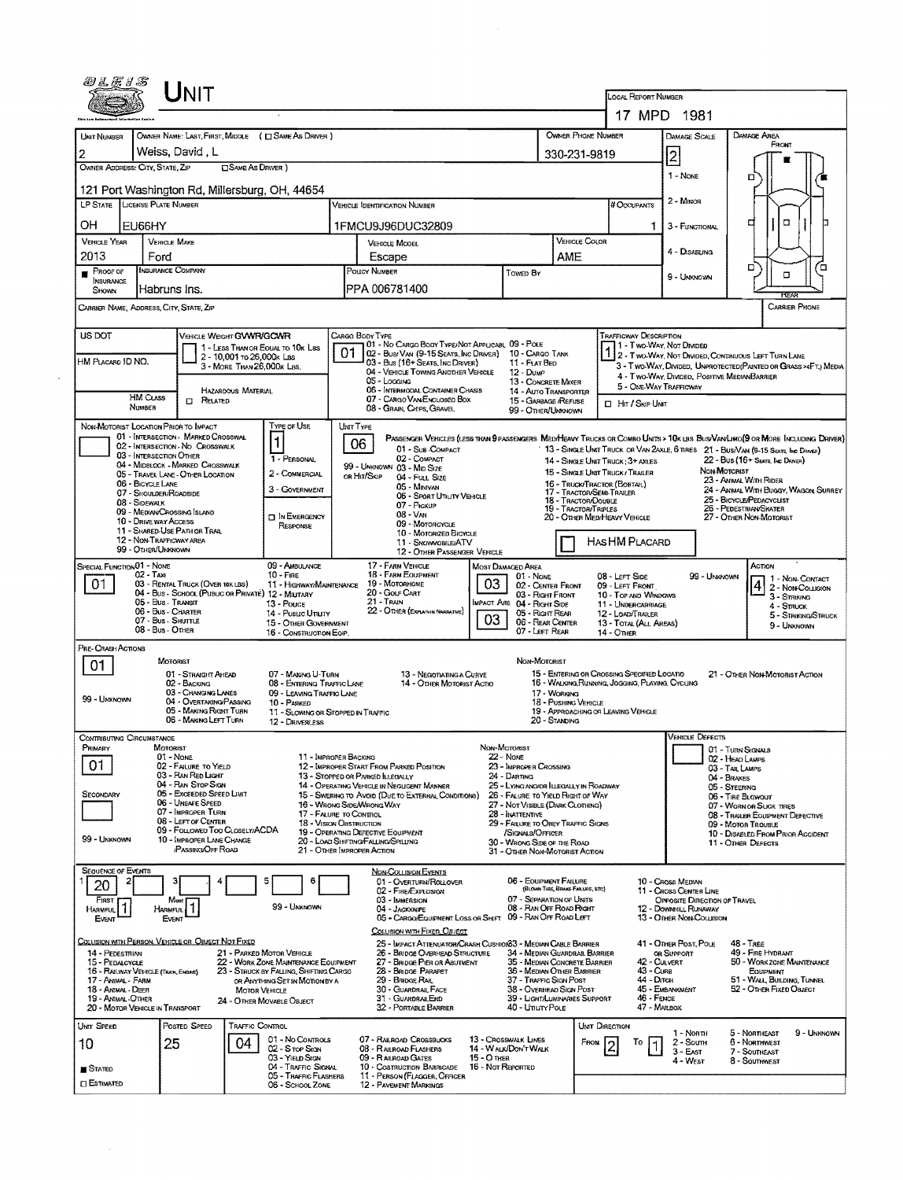| 0LE13                                                                                                                                                                                                                                                                                         |                                                        | <b>NIT</b>                                      |                            |                                                                   |                                                                                             |                                                                                                                                                                                |                          |                                                           |                                  |                                                                                    |                                                                                                                 |                                                             |                                                   |                                       |  |  |  |
|-----------------------------------------------------------------------------------------------------------------------------------------------------------------------------------------------------------------------------------------------------------------------------------------------|--------------------------------------------------------|-------------------------------------------------|----------------------------|-------------------------------------------------------------------|---------------------------------------------------------------------------------------------|--------------------------------------------------------------------------------------------------------------------------------------------------------------------------------|--------------------------|-----------------------------------------------------------|----------------------------------|------------------------------------------------------------------------------------|-----------------------------------------------------------------------------------------------------------------|-------------------------------------------------------------|---------------------------------------------------|---------------------------------------|--|--|--|
|                                                                                                                                                                                                                                                                                               |                                                        |                                                 |                            |                                                                   |                                                                                             |                                                                                                                                                                                |                          |                                                           |                                  | <b>LOCAL REPORT NUMBER</b>                                                         |                                                                                                                 | 17 MPD 1981                                                 |                                                   |                                       |  |  |  |
| UNIT NUMBER                                                                                                                                                                                                                                                                                   |                                                        |                                                 |                            | OWNER NAME: LAST, FIRST, MIDDLE ( C SAME AS DRIVER )              |                                                                                             |                                                                                                                                                                                |                          |                                                           |                                  | OWNER PHONE NUMBER                                                                 |                                                                                                                 | DAMAGE SCALE                                                | DAMAGE AREA                                       |                                       |  |  |  |
| 2                                                                                                                                                                                                                                                                                             | Weiss, David, L                                        |                                                 |                            |                                                                   |                                                                                             | 330-231-9819                                                                                                                                                                   |                          |                                                           |                                  |                                                                                    |                                                                                                                 |                                                             |                                                   | FROMT                                 |  |  |  |
| OWNER ADDRESS: CITY, STATE, ZIP                                                                                                                                                                                                                                                               |                                                        |                                                 | <b>CISAME AS DRIVER</b> )  |                                                                   |                                                                                             |                                                                                                                                                                                |                          |                                                           |                                  |                                                                                    | 2                                                                                                               |                                                             |                                                   |                                       |  |  |  |
|                                                                                                                                                                                                                                                                                               |                                                        |                                                 |                            |                                                                   |                                                                                             |                                                                                                                                                                                |                          |                                                           |                                  |                                                                                    |                                                                                                                 | 1 - NONE                                                    | α                                                 |                                       |  |  |  |
|                                                                                                                                                                                                                                                                                               |                                                        |                                                 |                            | 121 Port Washington Rd, Millersburg, OH, 44654                    |                                                                                             |                                                                                                                                                                                |                          |                                                           | $2 -$ Minor                      |                                                                                    |                                                                                                                 |                                                             |                                                   |                                       |  |  |  |
| LP STATE LICENSE PLATE NUMBER                                                                                                                                                                                                                                                                 |                                                        |                                                 |                            |                                                                   |                                                                                             | VEHICLE IDENTIFICATION NUMBER                                                                                                                                                  |                          |                                                           |                                  | # Occupants                                                                        |                                                                                                                 | ₫                                                           | $\Box$                                            |                                       |  |  |  |
| OH<br><b>VEHICLE YEAR</b>                                                                                                                                                                                                                                                                     | EU66HY<br><b>VEHICLE MAKE</b>                          |                                                 |                            |                                                                   |                                                                                             | 1FMCU9J96DUC32809<br>VEHICLE COLOR<br><b>VEHICLE MODEL</b>                                                                                                                     |                          |                                                           |                                  |                                                                                    | 1<br>3 - FUNCTIONAL                                                                                             |                                                             |                                                   |                                       |  |  |  |
| 2013                                                                                                                                                                                                                                                                                          | Ford                                                   |                                                 |                            |                                                                   |                                                                                             | AME<br>Escape                                                                                                                                                                  |                          |                                                           |                                  |                                                                                    |                                                                                                                 | 4 - DISABUNG                                                |                                                   |                                       |  |  |  |
| <b>INSURANCE COMPANY</b><br>PROOF OF<br>INSURANCE                                                                                                                                                                                                                                             |                                                        |                                                 |                            |                                                                   |                                                                                             | POLICY NUMBER                                                                                                                                                                  |                          | TOWED BY                                                  |                                  |                                                                                    |                                                                                                                 | 9 - UNKNOWN                                                 | $\Box$                                            | Έ<br>$\Box$                           |  |  |  |
| Habruns Ins.<br>SHOWN                                                                                                                                                                                                                                                                         |                                                        |                                                 |                            |                                                                   |                                                                                             | PPA 006781400                                                                                                                                                                  |                          |                                                           |                                  |                                                                                    |                                                                                                                 |                                                             |                                                   | <b>FCEAS</b>                          |  |  |  |
| CARRIER NAME, ADDRESS, CITY, STATE, ZIP                                                                                                                                                                                                                                                       |                                                        |                                                 |                            |                                                                   |                                                                                             |                                                                                                                                                                                |                          |                                                           |                                  |                                                                                    |                                                                                                                 |                                                             |                                                   | <b>CARRIER PHONE</b>                  |  |  |  |
| US DOT                                                                                                                                                                                                                                                                                        |                                                        | VEHICLE WEIGHT GVWR/GCWR                        |                            |                                                                   |                                                                                             | CARGO BODY TYPE<br>01 - No CARGO BODY TYPE/NOT APPLICABL 09 - POLE                                                                                                             |                          |                                                           |                                  | <b>TRAFFICWAY DESCRIPTION</b>                                                      |                                                                                                                 |                                                             |                                                   |                                       |  |  |  |
| HM PLACARD ID NO.                                                                                                                                                                                                                                                                             |                                                        |                                                 | 2 - 10,001 to 26,000k Las  | 1 - LESS THAN OR EQUAL TO 10K LBS                                 |                                                                                             | 02 - Busi Van (9-15 Seats, Inc Driver) 10 - Cargo Tank<br>03 - Bus (16+ Sears, Inc Driver)                                                                                     |                          | 11 - FLAT BEO                                             |                                  |                                                                                    | 1 - Two-Way, Not Divided<br>112 - Two-Way, Not Divided, Continuous Left Turn Lane                               |                                                             |                                                   |                                       |  |  |  |
|                                                                                                                                                                                                                                                                                               |                                                        |                                                 | 3 - MORE THAN 26.000K LBS. |                                                                   | 04 - VEHICLE TOWING ANOTHER VEHICLE<br>$12 - D$ ump<br>05 - Locignic<br>13 - CONCRETE MIXER |                                                                                                                                                                                |                          |                                                           |                                  |                                                                                    | 3 - Two-WAY, DIVIDEO, UNPROTECTED (PAINTEO OR GRASS >4FT.) MEDIA<br>4 - Two-Way, DIMDEO, POSITIVE MEDIANBARRIER |                                                             |                                                   |                                       |  |  |  |
|                                                                                                                                                                                                                                                                                               | <b>HM CLASS</b>                                        | <b>CI RELATED</b>                               | HAZARDOUS MATERIAL         |                                                                   |                                                                                             | 06 - INTERMODAL CONTAINER CHASIS<br>07 - CARGO VAN ENCLOSED BOX                                                                                                                |                          | 14 - AUTO TRANSPORTER<br>15 - GARBAGE /REFUSE             |                                  | 5 - ONE-WAY TRAFFICWAY                                                             |                                                                                                                 |                                                             |                                                   |                                       |  |  |  |
|                                                                                                                                                                                                                                                                                               | NUMBER                                                 |                                                 |                            |                                                                   |                                                                                             | 08 - GRAIN, CHIPS, GRAVEL                                                                                                                                                      |                          | 99 - OTHER/UNKNOWN                                        |                                  |                                                                                    | <b>D</b> Hr / Skip Unit                                                                                         |                                                             |                                                   |                                       |  |  |  |
| NON-MOTORIST LOCATION PRIOR TO IMPACT                                                                                                                                                                                                                                                         |                                                        | 01 - INTERSECTION - MARKED CROSSWAL             |                            | TYPE OF USE                                                       | UNIT TYPE                                                                                   | PASSENGER VEHICLES (LESS THAN PRASSENGERS MEDIMEANY TRUCKS OR COMBO UNITS > 10K LBS BUS/VAN/LIMO(9 OR MORE INCLUDING DRIVER)                                                   |                          |                                                           |                                  |                                                                                    |                                                                                                                 |                                                             |                                                   |                                       |  |  |  |
|                                                                                                                                                                                                                                                                                               | 03 - INTERSECTION OTHER                                | 02 - INTERSECTION - NO CROSSWALK                |                            | $\vert$ 1                                                         |                                                                                             | 06<br>01 - Sub COMPACT                                                                                                                                                         |                          |                                                           |                                  | 13 - SINGLE UNIT TRUCK OR VAN 2AXLE, 6 TIRES 21 - BUS/VAN (9-15 SEATS, INC DRIVER) |                                                                                                                 |                                                             |                                                   |                                       |  |  |  |
|                                                                                                                                                                                                                                                                                               |                                                        | 04 - MIDBLOCK - MARKED CROSSWALK                |                            | 1 - PERSONAL                                                      |                                                                                             | 02 - COMPACT<br>99 - UNKNOWN 03 - MID SIZE                                                                                                                                     |                          |                                                           |                                  | 14 - SINGLE UNIT TRUCK: 3+ AXLES<br>15 - SINGLE UNIT TRUCK / TRAILER               |                                                                                                                 |                                                             | 22 - Bus (16+ Seats, Inc. Driver)<br>NON-MOTORIST |                                       |  |  |  |
|                                                                                                                                                                                                                                                                                               | 06 - BICYCLE LANE                                      | 05 - TRAVEL LANE - OTHER LOCATION               |                            | 2 - COMMERCIAL                                                    |                                                                                             | OR HIT/SKIP<br>04 - Fuu, Size<br>05 - MINIVAN                                                                                                                                  |                          |                                                           |                                  | 16 - Truck/Tractor (Bobtal)                                                        |                                                                                                                 |                                                             | 23 - AMMAL WITH RIDER                             |                                       |  |  |  |
|                                                                                                                                                                                                                                                                                               | 07 - Shoulder/Roadside<br>08 - SIDEWALK                |                                                 |                            | 3 - GOVERNMENT                                                    |                                                                                             | <b>06 - SPORT UTILITY VEHICLE</b>                                                                                                                                              |                          |                                                           |                                  | 17 - TRACTOR/SEMI-TRAILER<br>18 - TRACTOR/DOUBLE                                   |                                                                                                                 |                                                             | 25 - BICYCLE/PEDACYCLIST                          | 24 - ANIMAL WITH BUGGY, WAGON, SURREY |  |  |  |
|                                                                                                                                                                                                                                                                                               | 09 - MEDIAN CROSSING ISLAND                            |                                                 |                            | <b>TI IN EMERGENCY</b>                                            |                                                                                             | 07 - Pickup<br>19 - TRACTOR/TRIPLES<br>$08 - V_{AN}$                                                                                                                           |                          |                                                           |                                  |                                                                                    | 26 - PEDESTRIAN SKATER<br>20 - OTHER MED/HEAVY VEHICLE<br>27 - Other Non-Motorist                               |                                                             |                                                   |                                       |  |  |  |
|                                                                                                                                                                                                                                                                                               | 10 - DRIVE WAY ACCESS<br>11 - SHARED-USE PATH OR TRAIL |                                                 |                            | RESPONSE                                                          |                                                                                             | 09 - MOTORGYCLE<br>10 - MOTORIZED BICYCLE                                                                                                                                      |                          |                                                           |                                  |                                                                                    |                                                                                                                 |                                                             |                                                   |                                       |  |  |  |
|                                                                                                                                                                                                                                                                                               | 12 - NON-TRAFFICWAY AREA<br>99 - OTHER/UNKNOWN         |                                                 |                            |                                                                   |                                                                                             | 11 - SNOWMOBILE/ATV<br>12 - OTHER PASSENGER VEHICLE                                                                                                                            |                          |                                                           |                                  | HAS HM PLACARD                                                                     |                                                                                                                 |                                                             |                                                   |                                       |  |  |  |
| SPECIAL FUNCTION 01 - NONE                                                                                                                                                                                                                                                                    |                                                        |                                                 |                            | 09 - AMBULANCE                                                    |                                                                                             | 17 - FARM VEHICLE                                                                                                                                                              | <b>MOST DAMAGED AREA</b> |                                                           |                                  |                                                                                    |                                                                                                                 |                                                             | Астюм                                             |                                       |  |  |  |
| 01                                                                                                                                                                                                                                                                                            | 02 - Taxi                                              | 03 - RENTAL TRUCK (OVER 10K LBS)                |                            | $10 -$ Fire<br>11 - HIGHWAY/MAINTENANCE                           |                                                                                             | 18 - FARM EQUIPMENT<br>19 - MOTORHOME                                                                                                                                          | 03                       | $01 - None$<br>02 - CENTER FRONT                          |                                  | 08 - LEFT SIDE<br>09 - LEFT FRONT                                                  |                                                                                                                 | 99 - UNKNOWN                                                |                                                   | 1 - Non Contact<br>2 - NON-COLUSION   |  |  |  |
|                                                                                                                                                                                                                                                                                               | 05 - Bus - Transit                                     |                                                 |                            | 04 - Bus - SCHOOL (PUBLIC OR PRIVATE) 12 - MILITARY<br>13 - Pouce |                                                                                             | 20 - Gour CART<br>21 - TRAIN                                                                                                                                                   |                          | 03 - Right Front                                          |                                  | 10 - TOP AND WINDOWS                                                               |                                                                                                                 |                                                             |                                                   | 3 - STRIKING                          |  |  |  |
| IMPACT ARE 04 - RIGHT SIDE<br>11 - UNDERCARRIAGE<br>4 - STRUCK<br>22 - OTHER (EXPLANIN NARRATIVE)<br>06 - Bus - Charter<br>14 - Pusuc Unury<br>05 - Right REAR<br>12 - LOAD/TRAILER<br>03 <sub>o</sub><br>07 - Bus - SHUTTLE<br>06 - REAR CENTER<br><b>15 - OTHER GOVERNMENT</b>              |                                                        |                                                 |                            |                                                                   |                                                                                             |                                                                                                                                                                                |                          |                                                           | 5 - STRIKING/STRUCK              |                                                                                    |                                                                                                                 |                                                             |                                                   |                                       |  |  |  |
|                                                                                                                                                                                                                                                                                               | 08 - Bus - Other                                       |                                                 |                            | 16 - CONSTRUCTION EQIP                                            |                                                                                             |                                                                                                                                                                                |                          | 07 - LEFT REAR                                            |                                  | 13 - TOTAL (ALL AREAS)<br>14 - Отнек                                               |                                                                                                                 |                                                             |                                                   | 9 - UNKNOWN                           |  |  |  |
| PRE-CRASH ACTIONS                                                                                                                                                                                                                                                                             | <b>MOTORIST</b>                                        |                                                 |                            |                                                                   |                                                                                             |                                                                                                                                                                                |                          | NON-MOTORIST                                              |                                  |                                                                                    |                                                                                                                 |                                                             |                                                   |                                       |  |  |  |
| 01                                                                                                                                                                                                                                                                                            |                                                        | 01 - STRAIGHT AHEAD                             |                            | 07 - MAKING U-TURN                                                |                                                                                             | 13 - NEGOTIATING A CURVE                                                                                                                                                       |                          |                                                           |                                  | 15 - ENTERING OR CROSSING SPECIFIED LOCATIO                                        |                                                                                                                 |                                                             | 21 - OTHER NON-MOTORIST ACTION                    |                                       |  |  |  |
| 16 - WALKING RUNNING, JOGGING, PLAYING, CYCLING<br>02 - BACKING<br>08 - ENTERING TRAFFIC LANE<br>14 - Other Motorist Actio<br>03 - CHANGING LANES<br>09 - LEAVING TRAFFIC LANE<br>17 - WORKING                                                                                                |                                                        |                                                 |                            |                                                                   |                                                                                             |                                                                                                                                                                                |                          |                                                           |                                  |                                                                                    |                                                                                                                 |                                                             |                                                   |                                       |  |  |  |
| 99 - UNKNOWN<br>04 - OVERTAKING/PASSING<br>18 - PUSHING VEHICLE<br>10 - PARKED<br>05 - MAKING RIGHT TURN<br>19 - APPROACHING OR LEAVING VEHICLE<br>11 - SLOWING OR STOPPED IN TRAFFIC                                                                                                         |                                                        |                                                 |                            |                                                                   |                                                                                             |                                                                                                                                                                                |                          |                                                           |                                  |                                                                                    |                                                                                                                 |                                                             |                                                   |                                       |  |  |  |
|                                                                                                                                                                                                                                                                                               |                                                        | 06 - MAKING LEFT TURN                           |                            | 12 - DRIVERLESS                                                   |                                                                                             |                                                                                                                                                                                |                          |                                                           | 20 - Standing                    |                                                                                    |                                                                                                                 |                                                             |                                                   |                                       |  |  |  |
| <b>CONTRIBUTING CIRCUMSTANCE</b><br>PRIMARY                                                                                                                                                                                                                                                   | MOTORIST                                               |                                                 |                            |                                                                   |                                                                                             |                                                                                                                                                                                | Non-Motorist             |                                                           |                                  |                                                                                    |                                                                                                                 | <b>VEHICLE DEFECTS</b>                                      |                                                   |                                       |  |  |  |
| 01                                                                                                                                                                                                                                                                                            | 01 - None                                              |                                                 |                            |                                                                   | 11 - IMPROPER BACKING                                                                       |                                                                                                                                                                                | <b>22 - Nove</b>         |                                                           |                                  |                                                                                    |                                                                                                                 |                                                             | 01 - TURN SIGNALS<br>02 - HEAD LAMPS              |                                       |  |  |  |
|                                                                                                                                                                                                                                                                                               |                                                        | 02 - FAILURE TO YIELD<br>03 - RAN RED LIGHT     |                            |                                                                   |                                                                                             | 12 - IMPROPER START FROM PARKED POSITION<br>13 - Stopped or PARKED ILLEGALLY                                                                                                   |                          | 23 - IMPROPER CROSSING<br>24 - Darting                    |                                  |                                                                                    |                                                                                                                 |                                                             | 03 - TAIL LAMPS<br>04 - BRAKES                    |                                       |  |  |  |
| SECONDARY                                                                                                                                                                                                                                                                                     |                                                        | 04 - RAN STOP SIGN<br>05 - Exceeded Speed LIMIT |                            |                                                                   |                                                                                             | 14 - OPERATING VEHICLE IN NEGLIGENT MANNER<br>25 - LYING AND/OR LLEGALLY IN ROADWAY<br>15 - Swering to Avoid (Due to External Conditions)<br>26 - FALURE TO YIELD RIGHT OF WAY |                          |                                                           |                                  |                                                                                    | 05 - STEERING<br>06 - TIRE BLOWOUT                                                                              |                                                             |                                                   |                                       |  |  |  |
| 06 - UNSAFE SPEED<br>07 - IMPROPER TURN                                                                                                                                                                                                                                                       |                                                        |                                                 |                            |                                                                   |                                                                                             | 16 - WRONG SIDE WRONG WAY<br>27 - Not Visible (DARK CLOTHING)<br>17 - FALURE TO CONTROL<br>28 - INATTENTIVE                                                                    |                          |                                                           |                                  |                                                                                    |                                                                                                                 | 07 - WORN OR SUCK TIRES<br>08 - TRAILER EQUIPMENT DEFECTIVE |                                                   |                                       |  |  |  |
|                                                                                                                                                                                                                                                                                               |                                                        | 08 - LEFT OF CENTER                             |                            |                                                                   |                                                                                             | <b>18 - VISION OBSTRUCTION</b><br>29 - FAILURE TO OBEY TRAFFIC SIGNS<br>19 - OPERATING DEFECTIVE EQUIPMENT                                                                     |                          |                                                           |                                  |                                                                                    | 09 - Moror TrousLE                                                                                              |                                                             |                                                   |                                       |  |  |  |
| 09 - FOLLOWEO TOO CLOSELY/ACDA<br>99 - LINKNOWN<br>10 - IMPROPER LANE CHANGE<br><b>PASSING OFF ROAD</b>                                                                                                                                                                                       |                                                        |                                                 |                            |                                                                   |                                                                                             | /SIGNALS/OFFICER<br>20 - LOAD SHIFTING/FALLING/SPILLING<br>30 - Wrong Side of the Road<br>21 - OTHER IMPROPER ACTION<br>31 - Other Non-Motorist Action                         |                          |                                                           |                                  |                                                                                    | 10 - DISABLED FROM PRIOR ACCIDENT<br>11 - OTHER DEFECTS                                                         |                                                             |                                                   |                                       |  |  |  |
| <b>SEQUENCE OF EVENTS</b>                                                                                                                                                                                                                                                                     |                                                        |                                                 |                            |                                                                   |                                                                                             |                                                                                                                                                                                |                          |                                                           |                                  |                                                                                    |                                                                                                                 |                                                             |                                                   |                                       |  |  |  |
| 20                                                                                                                                                                                                                                                                                            | з                                                      |                                                 |                            | 5<br>6                                                            |                                                                                             | NON-COLLISION EVENTS<br>01 - OVERTURN/ROLLOVER                                                                                                                                 |                          | 06 - EQUIPMENT FAILURE                                    | (BLOWN TIRE, BRAKE FAILURE, ETC) |                                                                                    | 10 - Cross Median                                                                                               |                                                             |                                                   |                                       |  |  |  |
| FIRST                                                                                                                                                                                                                                                                                         | Most                                                   |                                                 |                            |                                                                   |                                                                                             | 02 - FIRE/EXPLOSION<br>03 - IMMERSION                                                                                                                                          |                          | 07 - SEPARATION OF UNITS                                  |                                  |                                                                                    |                                                                                                                 | 11 - CROSS CENTER LINE<br>OPPOSITE DIRECTION OF TRAVEL      |                                                   |                                       |  |  |  |
| HARMFUL <sup>1</sup><br>Event                                                                                                                                                                                                                                                                 | <b>HARMFUL</b><br>Event                                |                                                 |                            | 99 - UNKNOWN                                                      |                                                                                             | 04 - JACKKNIFE<br>05 - CARGO/EQUIPMENT LOSS OR SHIFT 09 - RAN OFF ROAD LEFT                                                                                                    |                          | 08 - RAN OFF ROAD RIGHT                                   |                                  |                                                                                    |                                                                                                                 | 12 - DOWNHILL RUNAWAY<br>13 - OTHER NON-COLUSION            |                                                   |                                       |  |  |  |
| COLLISION WITH PERSON, VEHICLE OR OBJECT NOT FIXED                                                                                                                                                                                                                                            |                                                        |                                                 |                            |                                                                   |                                                                                             | COLLISION WITH FIXED, OBJECT                                                                                                                                                   |                          |                                                           |                                  |                                                                                    |                                                                                                                 |                                                             |                                                   |                                       |  |  |  |
| 14 - PEDESTRIAN                                                                                                                                                                                                                                                                               |                                                        |                                                 |                            | 21 - PARKED MOTOR VEHICLE                                         |                                                                                             | 25 - Impact Attenuator/Crash Cushion 3 - Median Cable Barrier<br>26 - BRIDGE OVERHEAD STRUCTURE                                                                                |                          | 34 - MEDIAN GUARDRAIL BARRIER                             |                                  |                                                                                    | OR SUPPORT                                                                                                      | 41 - OTHER POST, POLE                                       | 48 - TREE<br>49 - FIRE HYDRANT                    |                                       |  |  |  |
| 22 - WORK ZONE MAINTENANCE EQUIPMENT<br>27 - BRIDGE PIER OR ABUTMENT<br>15 - PEDALCYCLE<br>23 - STRUCK BY FALLING, SHIFTING CARGO<br>28 - Bridge Parapet<br>16 - RAILWAY VEHICLE (TRAIN, ENGINE)                                                                                              |                                                        |                                                 |                            |                                                                   |                                                                                             |                                                                                                                                                                                |                          | 35 - MEDIAN CONCRETE BARRIER<br>36 - MEDIAN OTHER BARRIER |                                  |                                                                                    | 42 - Culvert<br>43 - CuRB                                                                                       |                                                             | Есилрмент                                         | 50 - WORK ZONE MAINTENANCE            |  |  |  |
| 44 - Олтон<br>51 - WALL, BUILDING, TUNNEL<br>29 - BRIDGE RAIL<br>37 - TRAFFIC SIGN POST<br>17 - Animal - Farm<br>OR ANYTHING SET IN MOTION BY A<br>45 - EMBANKMENT<br>52 - OTHER FIXED OBJECT<br>30 - GUARDRAIL FACE<br>38 - Overhead Sign Post<br>18 - ANIMAL - DEER<br><b>MOTOR VEHICLE</b> |                                                        |                                                 |                            |                                                                   |                                                                                             |                                                                                                                                                                                |                          |                                                           |                                  |                                                                                    |                                                                                                                 |                                                             |                                                   |                                       |  |  |  |
| 19 - ANIMAL-OTHER<br>20 - MOTOR VEHICLE IN TRANSPORT                                                                                                                                                                                                                                          |                                                        |                                                 |                            | 24 - OTHER MOVABLE OBJECT                                         |                                                                                             | 31 - GUARDRAILEND<br>32 - PORTABLE BARRIER                                                                                                                                     |                          | 39 - Light/Luminaries Support<br>40 - Unury Pole          |                                  |                                                                                    | 46 - FENCE<br>47 - MAILBOX                                                                                      |                                                             |                                                   |                                       |  |  |  |
| UMT SPEED                                                                                                                                                                                                                                                                                     |                                                        | POSTED SPEED                                    | TRAFFIC CONTROL            |                                                                   |                                                                                             |                                                                                                                                                                                |                          |                                                           |                                  | UNT DIRECTION                                                                      |                                                                                                                 |                                                             |                                                   |                                       |  |  |  |
| 10                                                                                                                                                                                                                                                                                            | 25                                                     |                                                 | 04                         | 01 - No CONTROLS                                                  |                                                                                             | 07 - RAILROAD CROSSBUCKS                                                                                                                                                       | 13 - Crosswalk Lines     |                                                           |                                  | FROM<br>To<br>l2                                                                   |                                                                                                                 | 1 - Noam<br>$2 -$ Soum                                      | 5 - NORTHEAST<br>6 - Northwest                    | 9 - UNKNOWN                           |  |  |  |
|                                                                                                                                                                                                                                                                                               |                                                        |                                                 |                            | 02 - S TOP SIGN<br>03 - YIELD SKON                                |                                                                                             | 08 - RAILROAD FLASHERS<br>09 - RAILROAD GATES                                                                                                                                  | 15 - O THER              | 14 - WALK/DON'T WALK                                      |                                  |                                                                                    |                                                                                                                 | $3 - EAF$<br>4 - West                                       | 7 - SOUTHEAST<br>8 - SOUTHWEST                    |                                       |  |  |  |
| <b>STATEO</b>                                                                                                                                                                                                                                                                                 |                                                        |                                                 |                            | 04 - TRAFFIC SIGNAL<br>05 - TRAFFIC FLASHERS                      |                                                                                             | 10 - Costruction Barricade<br>11 - PERSON (FLAGGER, OFFICER                                                                                                                    | 16 - Not Reported        |                                                           |                                  |                                                                                    |                                                                                                                 |                                                             |                                                   |                                       |  |  |  |
| <b>ESTIMATED</b>                                                                                                                                                                                                                                                                              |                                                        |                                                 |                            | 06 - School Zone                                                  |                                                                                             | 12 - Pavement Markings                                                                                                                                                         |                          |                                                           |                                  |                                                                                    |                                                                                                                 |                                                             |                                                   |                                       |  |  |  |